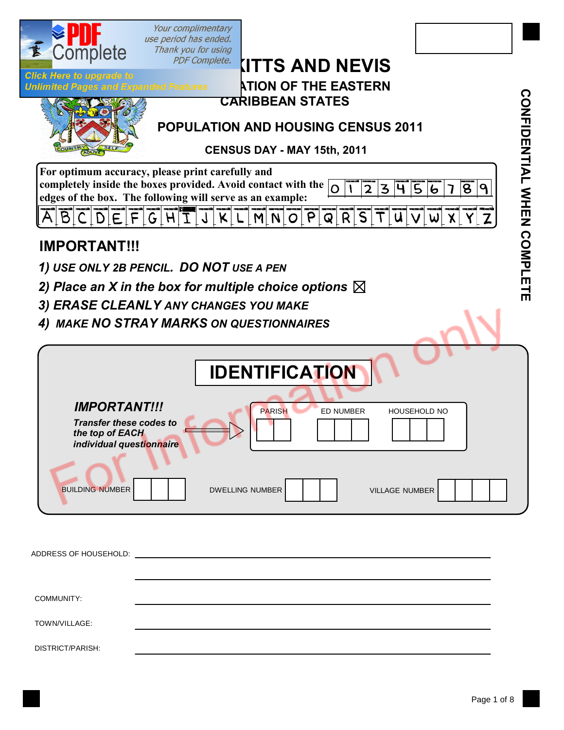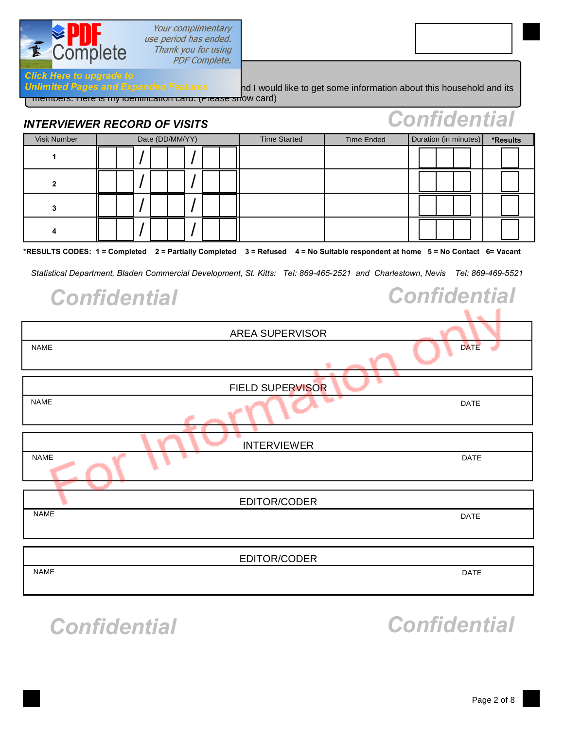

**Click Here to upgrade to** 

#### Your complimentary use period has ended. Thank you for using PDF Complete.

members. Here is my identification card. (Please show card)

| Fonike enikl<br><b>INTERVIEWER RECORD OF VISITS</b> |                         |  |  |                     |                   |                       |  |  |                                                                                                                               |  |  |  |  |                     |  |  |  |
|-----------------------------------------------------|-------------------------|--|--|---------------------|-------------------|-----------------------|--|--|-------------------------------------------------------------------------------------------------------------------------------|--|--|--|--|---------------------|--|--|--|
| <b>Visit Number</b>                                 | Date (DD/MM/YY)         |  |  | <b>Time Started</b> | <b>Time Ended</b> | Duration (in minutes) |  |  | *Results                                                                                                                      |  |  |  |  |                     |  |  |  |
| 1                                                   |                         |  |  |                     |                   |                       |  |  |                                                                                                                               |  |  |  |  |                     |  |  |  |
| $\mathbf{2}$                                        |                         |  |  |                     |                   |                       |  |  |                                                                                                                               |  |  |  |  |                     |  |  |  |
| 3                                                   |                         |  |  |                     |                   |                       |  |  |                                                                                                                               |  |  |  |  |                     |  |  |  |
| 4                                                   |                         |  |  |                     |                   |                       |  |  |                                                                                                                               |  |  |  |  |                     |  |  |  |
|                                                     |                         |  |  |                     |                   |                       |  |  | *RESULTS CODES: 1 = Completed 2 = Partially Completed 3 = Refused 4 = No Suitable respondent at home 5 = No Contact 6= Vacant |  |  |  |  |                     |  |  |  |
|                                                     |                         |  |  |                     |                   |                       |  |  | Statistical Department, Bladen Commercial Development, St. Kitts: Tel: 869-465-2521 and Charlestown, Nevis Tel: 869-469-5521  |  |  |  |  |                     |  |  |  |
| <b>Confidential</b>                                 |                         |  |  |                     |                   |                       |  |  |                                                                                                                               |  |  |  |  | <b>Confidential</b> |  |  |  |
|                                                     |                         |  |  |                     |                   |                       |  |  |                                                                                                                               |  |  |  |  |                     |  |  |  |
| <b>AREA SUPERVISOR</b>                              |                         |  |  |                     |                   |                       |  |  |                                                                                                                               |  |  |  |  |                     |  |  |  |
| <b>DATE</b><br><b>NAME</b>                          |                         |  |  |                     |                   |                       |  |  |                                                                                                                               |  |  |  |  |                     |  |  |  |
|                                                     | <b>FIELD SUPERVISOR</b> |  |  |                     |                   |                       |  |  |                                                                                                                               |  |  |  |  |                     |  |  |  |
| <b>NAME</b>                                         | <b>DATE</b>             |  |  |                     |                   |                       |  |  |                                                                                                                               |  |  |  |  |                     |  |  |  |
|                                                     |                         |  |  |                     |                   |                       |  |  | <b>INTERVIEWER</b>                                                                                                            |  |  |  |  |                     |  |  |  |
| <b>NAME</b>                                         | <b>DATE</b>             |  |  |                     |                   |                       |  |  |                                                                                                                               |  |  |  |  |                     |  |  |  |
| EDITOR/CODER                                        |                         |  |  |                     |                   |                       |  |  |                                                                                                                               |  |  |  |  |                     |  |  |  |
| <b>NAME</b><br><b>DATE</b>                          |                         |  |  |                     |                   |                       |  |  |                                                                                                                               |  |  |  |  |                     |  |  |  |
|                                                     |                         |  |  |                     |                   |                       |  |  |                                                                                                                               |  |  |  |  |                     |  |  |  |
| <b>NAME</b>                                         |                         |  |  |                     |                   |                       |  |  | EDITOR/CODER                                                                                                                  |  |  |  |  | DATE                |  |  |  |
|                                                     |                         |  |  |                     |                   |                       |  |  |                                                                                                                               |  |  |  |  |                     |  |  |  |
|                                                     |                         |  |  |                     |                   |                       |  |  |                                                                                                                               |  |  |  |  |                     |  |  |  |

Unlimited Pages and Expanded Features and I would like to get some information about this household and its

## *Confidential Confidential*

*Confidential*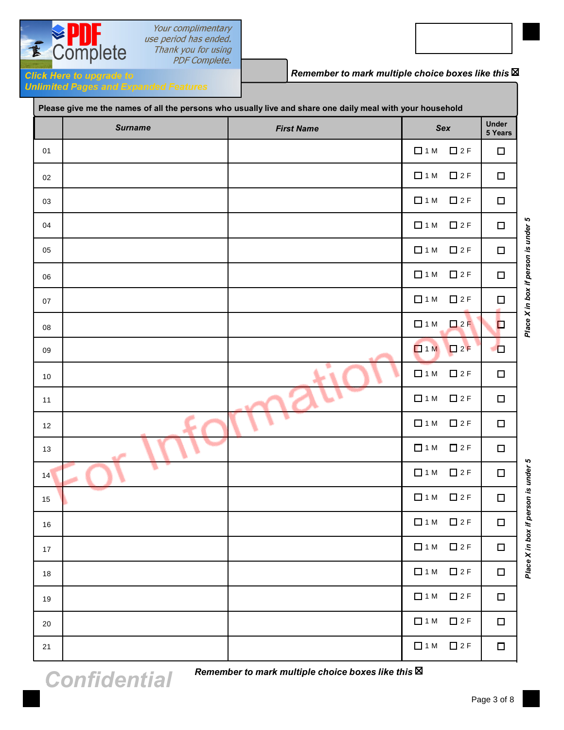

Your complimentary use period has ended. Thank you for using

*Remember to mark multiple choice boxes like this*

**Unlimited Pages and Expanded Features** 

| Please give me the names of all the persons who usually live and share one daily meal with your household |                |                   |            |                       |                         |  |  |  |  |
|-----------------------------------------------------------------------------------------------------------|----------------|-------------------|------------|-----------------------|-------------------------|--|--|--|--|
|                                                                                                           | <b>Surname</b> | <b>First Name</b> |            | Sex                   | <b>Under</b><br>5 Years |  |  |  |  |
| 01                                                                                                        |                |                   | $\Box$ 1 M | $\square$ 2 F         | $\Box$                  |  |  |  |  |
| 02                                                                                                        |                |                   | $\Box$ 1 M | $\square$ 2 F         | $\Box$                  |  |  |  |  |
| 03                                                                                                        |                |                   | $\Box$ 1 M | $\n  2 F$             | $\Box$                  |  |  |  |  |
| 04                                                                                                        |                |                   | $\Box$ 1 M | $\square$ 2 F         | $\Box$                  |  |  |  |  |
| 05                                                                                                        |                |                   | $\Box$ 1 M | $\square$ 2 F         | $\Box$                  |  |  |  |  |
| 06                                                                                                        |                |                   | $\Box$ 1 M | $\square$ 2 F         | $\Box$                  |  |  |  |  |
| 07                                                                                                        |                |                   | $\Box$ 1 M | $\square$ 2 F         | $\Box$                  |  |  |  |  |
| 08                                                                                                        |                |                   | $\Box$ 1 M | $\square$ 2 F         | $\Box$                  |  |  |  |  |
| 09                                                                                                        |                |                   | $\Box$ 1 M | $\square$ 2 F         | $\Box$                  |  |  |  |  |
| 10                                                                                                        |                | ٠                 | $\Box$ 1 M | $\n  2 F$             | $\Box$                  |  |  |  |  |
| 11                                                                                                        |                |                   | $\Box$ 1 M | $\square$ 2 F         | $\Box$                  |  |  |  |  |
| 12                                                                                                        |                |                   | $\Box$ 1 M | $\square$ 2 F         | $\Box$                  |  |  |  |  |
| 13                                                                                                        | التورد         |                   | $\Box$ 1 M | $\square$ 2 F         | $\Box$                  |  |  |  |  |
| 14                                                                                                        |                |                   | $\Box$ 1 M | $\square$ 2 F         | $\Box$                  |  |  |  |  |
| 15                                                                                                        |                |                   | $\Box$ 1 M | $\square$ 2 F         | $\Box$                  |  |  |  |  |
| 16                                                                                                        |                |                   |            | $\Box$ 1 M $\Box$ 2 F | $\Box$                  |  |  |  |  |
| 17                                                                                                        |                |                   |            | $\Box$ 1 M $\Box$ 2 F | $\Box$                  |  |  |  |  |
| 18                                                                                                        |                |                   | $\Box$ 1 M | $\square$ 2 F         | $\Box$                  |  |  |  |  |
| 19                                                                                                        |                |                   |            | $\Box$ 1 M $\Box$ 2 F | $\Box$                  |  |  |  |  |
| 20                                                                                                        |                |                   |            | $\Box$ 1 M $\Box$ 2 F | $\Box$                  |  |  |  |  |
| 21                                                                                                        |                |                   |            | $\Box$ 1 M $\Box$ 2 F | $\Box$                  |  |  |  |  |

Page 3 of 8

*Place X in box if person is under 5*

Place X in box if person is under 5

*Place X in box if person is under 5*

Place X in box if person is under 5

*Confidential*

*Remember to mark multiple choice boxes like this*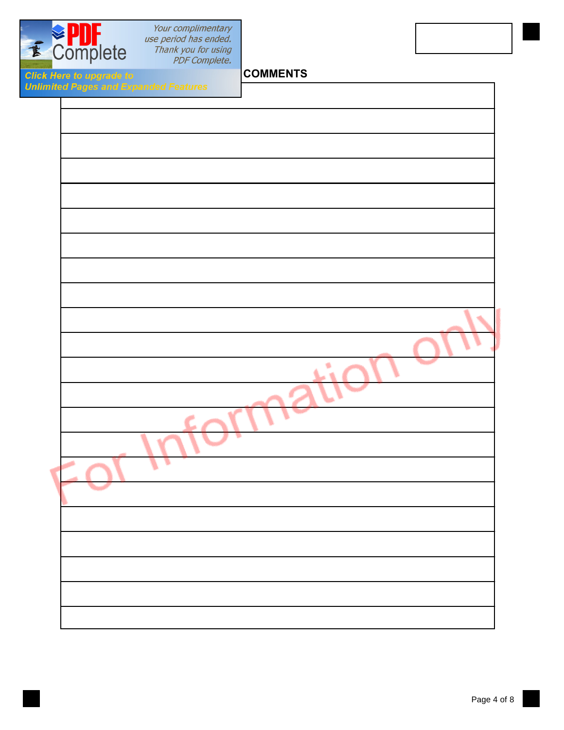

Your complimentary<br>use period has ended.<br>Thank you for using<br>PDF Complete.

**COMMENTS**

**Click Here to upgrade to<br>Unlimited Pages and Exp** 

| ited Pages and Expanded Features |  |
|----------------------------------|--|
|                                  |  |
|                                  |  |
|                                  |  |
|                                  |  |
|                                  |  |
|                                  |  |
|                                  |  |
|                                  |  |
|                                  |  |
|                                  |  |
|                                  |  |
|                                  |  |
|                                  |  |
|                                  |  |
|                                  |  |
|                                  |  |
|                                  |  |
|                                  |  |
|                                  |  |
|                                  |  |
|                                  |  |
|                                  |  |
|                                  |  |
|                                  |  |
|                                  |  |
|                                  |  |
|                                  |  |
|                                  |  |
|                                  |  |
|                                  |  |
|                                  |  |
|                                  |  |
|                                  |  |
|                                  |  |
|                                  |  |
|                                  |  |
|                                  |  |
|                                  |  |
|                                  |  |
|                                  |  |
|                                  |  |
|                                  |  |
|                                  |  |
|                                  |  |
|                                  |  |
|                                  |  |
|                                  |  |
|                                  |  |
|                                  |  |
|                                  |  |
|                                  |  |
|                                  |  |
|                                  |  |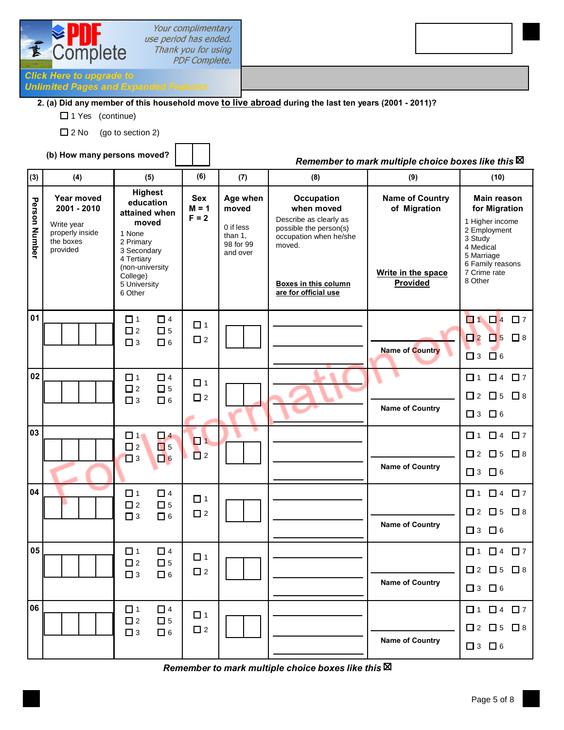

Your complimentary use period has ended. Thank you for using **PDF Complete.** 

### **Click Here to upgrade to<br>Unlimited Pages and Expanded Features**

#### **2. (a) Did any member of this household move to live abroad during the last ten years (2001 - 2011)?**

- □ 1 Yes (continue)
- $\Box$  2 No (go to section 2)

#### **(b) How many persons moved?**

#### *Remember to mark multiple choice boxes like this*

| (3)             | (4)                                                                                        | (5)                                                                                                                                                                 | (6)                     | (7)                                                                | (8)                                                                                                                                                                            | (9)                                                                      | (10)                                                                                                                                                 |  |
|-----------------|--------------------------------------------------------------------------------------------|---------------------------------------------------------------------------------------------------------------------------------------------------------------------|-------------------------|--------------------------------------------------------------------|--------------------------------------------------------------------------------------------------------------------------------------------------------------------------------|--------------------------------------------------------------------------|------------------------------------------------------------------------------------------------------------------------------------------------------|--|
| Person Number   | <b>Year moved</b><br>2001 - 2010<br>Write year<br>properly inside<br>the boxes<br>provided | <b>Highest</b><br>education<br>attained when<br>moved<br>1 None<br>2 Primary<br>3 Secondary<br>4 Tertiary<br>(non-university<br>College)<br>5 University<br>6 Other |                         | Age when<br>moved<br>0 if less<br>than 1.<br>98 for 99<br>and over | <b>Occupation</b><br>when moved<br>Describe as clearly as<br>possible the person(s)<br>occupation when he/she<br>moved.<br><b>Boxes in this column</b><br>are for official use | <b>Name of Country</b><br>of Migration<br>Write in the space<br>Provided | Main reason<br>for Migration<br>1 Higher income<br>2 Employment<br>3 Study<br>4 Medical<br>5 Marriage<br>6 Family reasons<br>7 Crime rate<br>8 Other |  |
| $\overline{01}$ |                                                                                            | $\Box$ 1<br>$\Box$ 4<br>$\square$ 2<br>$\Box$ 5<br>$\Box$ 6<br>$\square$ 3                                                                                          | $\Box$ 1<br>$\square$ 2 |                                                                    |                                                                                                                                                                                | Name of Country                                                          | $\blacksquare$ 1<br>$\Box$ 4<br>$\square$ 7<br>$\Box$ 2<br>$\Box$ 5<br>$\Box$ 8<br>$\Box$ 6<br>$\Box$ 3                                              |  |
| 02              |                                                                                            | $\Box$ 4<br>$\Box$ 1<br>$\square$ 2<br>$\Box$ 5<br>$\square$ 3<br>$\Box$ 6                                                                                          | $\Box$ 1<br>$\Box$ 2    |                                                                    |                                                                                                                                                                                | <b>Name of Country</b>                                                   | $\Box$ 4<br>□ 7<br>$\Box$ 1<br>$\square$ 2<br>$\Box$ 5<br>$\Box$ 8<br>$\Box$ 6<br>$\Box$ 3                                                           |  |
| 03              |                                                                                            | $\Box$ 1<br>$\Box$ 4<br>$\square$ 2<br>$\Box$ 5<br>$\Box$ 6<br>$\square$ 3                                                                                          | $\Box$ 1<br>$\Box$ 2    |                                                                    |                                                                                                                                                                                | <b>Name of Country</b>                                                   | $\Box$ 4 $\Box$ 7<br>$\Box$ 1<br>$\Box$ 5<br>$\Box$ 2<br>$\Box$ 8<br>$\Box$ 6<br>$\Box$ 3                                                            |  |
| 04              |                                                                                            | $\Box$ 1<br>$\Box$ 4<br>$\square$ 2<br>$\Box$ 5<br>$\square$ 3<br>$\Box$ 6                                                                                          | $\Box$ 1<br>$\square$ 2 |                                                                    |                                                                                                                                                                                | <b>Name of Country</b>                                                   | $\Box$ 4<br>$\square$ 7<br>$\Box$ 1<br>$\square$ 2<br>$\square$ 5<br>$\Box$ 8<br>$\Box$ 6<br>$\Box$ 3                                                |  |
| 05              |                                                                                            | $\Box$ 1<br>$\Box$ 4<br>$\square$ 2<br>$\Box$ 5<br>$\square$ 3<br>$\Box$ 6                                                                                          | $\Box$ 1<br>$\square$ 2 |                                                                    |                                                                                                                                                                                | <b>Name of Country</b>                                                   | $\Box$ 1<br>$\Box$ 4<br>$\Box$ 7<br>$\Box$ 2<br>$\Box$ 5<br>$\Box$ 8<br>$\square$ 3 $\square$ 6                                                      |  |
| 06              |                                                                                            | $\Box$ 4<br>$\Box$ 1<br>$\square$ 2<br>$\Box$ 5<br>$\square$ 3<br>$\Box$ 6                                                                                          | $\Box$ 1<br>$\square$ 2 |                                                                    |                                                                                                                                                                                | <b>Name of Country</b>                                                   | $\square$ 1 $\square$ 4 $\square$ 7<br>$\square$ 2 $\square$ 5 $\square$ 8<br>$\square$ 3 $\square$ 6                                                |  |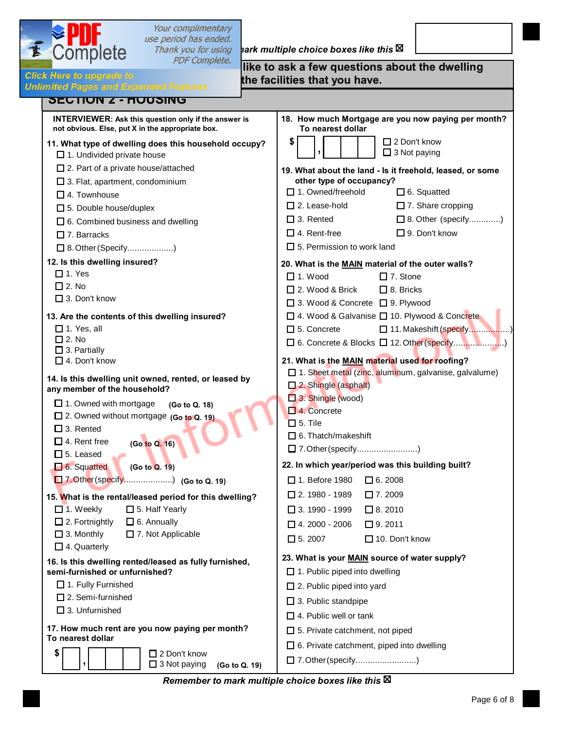

# *Your complimentary*<br>*use period has ended.*<br>Thank you for using **hark multiple choice boxes like this**

| $      -$<br><i>PDF Complete.</i><br>Here to upgrade to                                                         | like to ask a few questions about the dwelling<br>the facilities that you have.                           |  |  |  |  |
|-----------------------------------------------------------------------------------------------------------------|-----------------------------------------------------------------------------------------------------------|--|--|--|--|
| nited Pages and Expanded Features<br><b>SEUTIUN Z - HUUSINU</b>                                                 |                                                                                                           |  |  |  |  |
| <b>INTERVIEWER: Ask this question only if the answer is</b><br>not obvious. Else, put X in the appropriate box. | 18. How much Mortgage are you now paying per month?<br>To nearest dollar                                  |  |  |  |  |
| 11. What type of dwelling does this household occupy?<br>$\Box$ 1. Undivided private house                      | \$<br>$\Box$ 2 Don't know<br>$\Box$ 3 Not paying                                                          |  |  |  |  |
| $\square$ 2. Part of a private house/attached<br>$\square$ 3. Flat, apartment, condominium                      | 19. What about the land - Is it freehold, leased, or some<br>other type of occupancy?                     |  |  |  |  |
| $\Box$ 4. Townhouse                                                                                             | □ 1. Owned/freehold<br>$\Box$ 6. Squatted                                                                 |  |  |  |  |
| $\Box$ 5. Double house/duplex                                                                                   | $\square$ 2. Lease-hold<br>$\Box$ 7. Share cropping                                                       |  |  |  |  |
| $\Box$ 6. Combined business and dwelling                                                                        | $\Box$ 3. Rented<br>□ 8. Other (specify)                                                                  |  |  |  |  |
| $\Box$ 7. Barracks                                                                                              | $\Box$ 9. Don't know<br>$\Box$ 4. Rent-free                                                               |  |  |  |  |
| □ 8. Other (Specify)                                                                                            | $\Box$ 5. Permission to work land                                                                         |  |  |  |  |
| 12. Is this dwelling insured?                                                                                   | 20. What is the MAIN material of the outer walls?                                                         |  |  |  |  |
| $\Box$ 1. Yes                                                                                                   | $\Box$ 1. Wood<br>$\Box$ 7. Stone                                                                         |  |  |  |  |
| $\square$ 2. No                                                                                                 | $\Box$ 2. Wood & Brick<br>$\Box$ 8. Bricks                                                                |  |  |  |  |
| $\Box$ 3. Don't know                                                                                            | □ 3. Wood & Concrete □ 9. Plywood                                                                         |  |  |  |  |
| 13. Are the contents of this dwelling insured?                                                                  | □ 4. Wood & Galvanise □ 10. Plywood & Concrete                                                            |  |  |  |  |
| $\Box$ 1. Yes, all                                                                                              | $\Box$ 5. Concrete<br>11. Makeshift (specify)                                                             |  |  |  |  |
| $\square$ 2. No                                                                                                 | □ 6. Concrete & Blocks □ 12. Other (specify)                                                              |  |  |  |  |
| $\square$ 3. Partially<br>$\Box$ 4. Don't know                                                                  | 21. What is the MAIN material used for roofing?                                                           |  |  |  |  |
| 14. Is this dwelling unit owned, rented, or leased by<br>any member of the household?                           | $\Box$ 1. Sheet metal (zinc, aluminum, galvanise, galvalume)<br>2. Shingle (asphalt)<br>3. Shingle (wood) |  |  |  |  |
| $\Box$ 1. Owned with mortgage<br>(Go to Q. 18)                                                                  | $\Box$ 4. Concrete                                                                                        |  |  |  |  |
| □ 2. Owned without mortgage (Go to Q. 19)                                                                       | $\square$ 5. Tile                                                                                         |  |  |  |  |
| $\Pi$ 3. Rented                                                                                                 | $\Box$ 6. Thatch/makeshift                                                                                |  |  |  |  |
| $\Box$ 4. Rent free<br>(Go to Q. 16)                                                                            | □ 7. Other (specify)                                                                                      |  |  |  |  |
| $\square$ 5. Leased                                                                                             | 22. In which year/period was this building built?                                                         |  |  |  |  |
| 6. Squatted<br>(Go to Q. 19)                                                                                    | $\Box$ 1. Before 1980                                                                                     |  |  |  |  |
| 7. Other (specify) (Go to Q. 19)                                                                                | $\Box$ 6. 2008                                                                                            |  |  |  |  |
| 15. What is the rental/leased period for this dwelling?                                                         | $\square$ 2.1980 - 1989<br>$\Box$ 7.2009                                                                  |  |  |  |  |
| $\Box$ 1. Weekly<br>$\square$ 5. Half Yearly                                                                    | $\Box$ 3.1990 - 1999<br>$\Box$ 8. 2010                                                                    |  |  |  |  |
| $\Box$ 2. Fortnightly<br>$\Box$ 6. Annually                                                                     | $\Box$ 4. 2000 - 2006<br>$\Box$ 9. 2011                                                                   |  |  |  |  |
| $\square$ 3. Monthly<br>$\Box$ 7. Not Applicable<br>$\Box$ 4. Quarterly                                         | $\Box$ 5.2007<br>$\Box$ 10. Don't know                                                                    |  |  |  |  |
|                                                                                                                 | 23. What is your MAIN source of water supply?                                                             |  |  |  |  |
| 16. Is this dwelling rented/leased as fully furnished,<br>semi-furnished or unfurnished?                        | $\Box$ 1. Public piped into dwelling                                                                      |  |  |  |  |
| $\Box$ 1. Fully Furnished                                                                                       | $\Box$ 2. Public piped into yard                                                                          |  |  |  |  |
| $\Box$ 2. Semi-furnished                                                                                        | $\Box$ 3. Public standpipe                                                                                |  |  |  |  |
| $\square$ 3. Unfurnished                                                                                        | $\Box$ 4. Public well or tank                                                                             |  |  |  |  |
| 17. How much rent are you now paying per month?                                                                 |                                                                                                           |  |  |  |  |
| To nearest dollar                                                                                               | $\Box$ 5. Private catchment, not piped                                                                    |  |  |  |  |
| \$<br>$\Box$ 2 Don't know                                                                                       | □ 6. Private catchment, piped into dwelling                                                               |  |  |  |  |
| $\Box$ 3 Not paying<br>(Go to Q. 19)                                                                            | 7. Other (specify)                                                                                        |  |  |  |  |

*Remember to mark multiple choice boxes like this*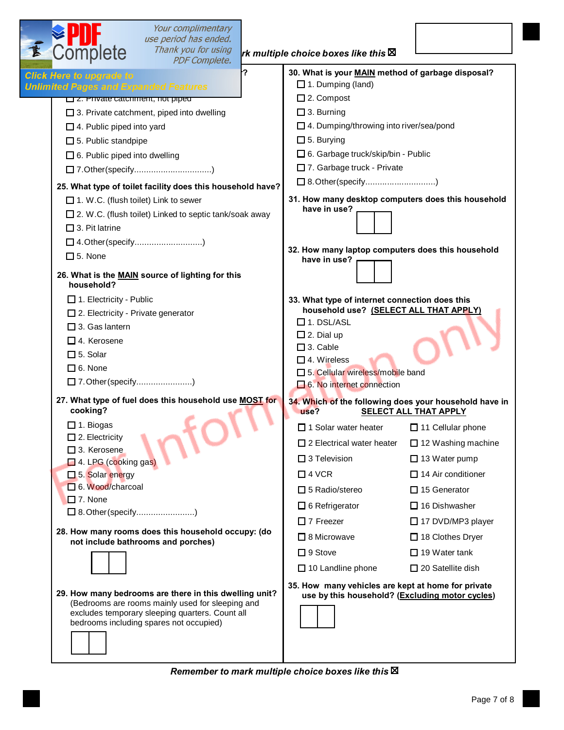| <b>EPUT</b><br>Complete                      | Your complimentary<br>use period has ended.<br>Thank you for using<br><b>PDF Complete.</b>                                                                                                               |      | rk multiple choice boxes like this $\boxtimes$                                                        |                              |
|----------------------------------------------|----------------------------------------------------------------------------------------------------------------------------------------------------------------------------------------------------------|------|-------------------------------------------------------------------------------------------------------|------------------------------|
| <b>Click Here to upgrade to</b>              |                                                                                                                                                                                                          | $-2$ | 30. What is your MAIN method of garbage disposal?                                                     |                              |
| <b>Unlimited Pages and Expanded Features</b> |                                                                                                                                                                                                          |      | $\Box$ 1. Dumping (land)                                                                              |                              |
| Z. Private cateriment, not piped             |                                                                                                                                                                                                          |      | $\Box$ 2. Compost                                                                                     |                              |
|                                              | $\Box$ 3. Private catchment, piped into dwelling                                                                                                                                                         |      | $\Box$ 3. Burning                                                                                     |                              |
| $\Box$ 4. Public piped into yard             |                                                                                                                                                                                                          |      | □ 4. Dumping/throwing into river/sea/pond                                                             |                              |
| $\Box$ 5. Public standpipe                   |                                                                                                                                                                                                          |      | $\square$ 5. Burying                                                                                  |                              |
| $\Box$ 6. Public piped into dwelling         |                                                                                                                                                                                                          |      | □ 6. Garbage truck/skip/bin - Public                                                                  |                              |
|                                              | 7.Other(specify)                                                                                                                                                                                         |      | 7. Garbage truck - Private                                                                            |                              |
|                                              | 25. What type of toilet facility does this household have?                                                                                                                                               |      | □ 8.Other(specify)                                                                                    |                              |
| $\Box$ 1. W.C. (flush toilet) Link to sewer  |                                                                                                                                                                                                          |      | 31. How many desktop computers does this household<br>have in use?                                    |                              |
|                                              | □ 2. W.C. (flush toilet) Linked to septic tank/soak away                                                                                                                                                 |      |                                                                                                       |                              |
| $\square$ 3. Pit latrine                     |                                                                                                                                                                                                          |      |                                                                                                       |                              |
| □ 4. Other (specify)                         |                                                                                                                                                                                                          |      | 32. How many laptop computers does this household                                                     |                              |
| $\square$ 5. None                            |                                                                                                                                                                                                          |      | have in use?                                                                                          |                              |
| household?                                   | 26. What is the MAIN source of lighting for this                                                                                                                                                         |      |                                                                                                       |                              |
| $\Box$ 1. Electricity - Public               |                                                                                                                                                                                                          |      | 33. What type of internet connection does this                                                        |                              |
| $\square$ 2. Electricity - Private generator |                                                                                                                                                                                                          |      | household use? (SELECT ALL THAT APPLY)                                                                |                              |
| $\Box$ 3. Gas lantern                        |                                                                                                                                                                                                          |      | $\Box$ 1. DSL/ASL<br>$\square$ 2. Dial up                                                             |                              |
| $\Box$ 4. Kerosene                           |                                                                                                                                                                                                          |      | $\square$ 3. Cable                                                                                    |                              |
| $\square$ 5. Solar                           |                                                                                                                                                                                                          |      | $\square$ 4. Wireless                                                                                 |                              |
| $\Box$ 6. None                               |                                                                                                                                                                                                          |      | □ 5. Cellular wireless/mobile band                                                                    |                              |
| □ 7. Other (specify)                         |                                                                                                                                                                                                          |      | $\Box$ 6. No internet connection                                                                      |                              |
| cooking?                                     | 27. What type of fuel does this household use MOST for                                                                                                                                                   |      | 34. Which of the following does your household have in<br>use?                                        | <b>SELECT ALL THAT APPLY</b> |
| $\Box$ 1. Biogas                             |                                                                                                                                                                                                          |      | □ 1 Solar water heater                                                                                | $\Box$ 11 Cellular phone     |
| $\Box$ 2. Electricity                        |                                                                                                                                                                                                          |      | $\Box$ 2 Electrical water heater                                                                      | $\Box$ 12 Washing machine    |
| $\Box$ 3. Kerosene<br>4. LPG (cooking gas)   |                                                                                                                                                                                                          |      | $\square$ 3 Television                                                                                | $\Box$ 13 Water pump         |
| 5. Solar energy                              |                                                                                                                                                                                                          |      | $\Box$ 4 VCR                                                                                          | $\Box$ 14 Air conditioner    |
| D 6. Wood/charcoal                           |                                                                                                                                                                                                          |      | $\square$ 5 Radio/stereo                                                                              | $\Box$ 15 Generator          |
| $\Box$ 7. None                               |                                                                                                                                                                                                          |      | $\Box$ 6 Refrigerator                                                                                 | $\Box$ 16 Dishwasher         |
| □ 8. Other (specify)                         |                                                                                                                                                                                                          |      | $\Box$ 7 Freezer                                                                                      | 17 DVD/MP3 player            |
|                                              | 28. How many rooms does this household occupy: (do                                                                                                                                                       |      |                                                                                                       |                              |
|                                              | not include bathrooms and porches)                                                                                                                                                                       |      | $\Box$ 8 Microwave                                                                                    | $\Box$ 18 Clothes Dryer      |
|                                              |                                                                                                                                                                                                          |      | $\square$ 9 Stove                                                                                     | $\Box$ 19 Water tank         |
|                                              |                                                                                                                                                                                                          |      | $\Box$ 10 Landline phone                                                                              | $\Box$ 20 Satellite dish     |
|                                              | 29. How many bedrooms are there in this dwelling unit?<br>(Bedrooms are rooms mainly used for sleeping and<br>excludes temporary sleeping quarters. Count all<br>bedrooms including spares not occupied) |      | 35. How many vehicles are kept at home for private<br>use by this household? (Excluding motor cycles) |                              |
|                                              |                                                                                                                                                                                                          |      |                                                                                                       |                              |

*Remember to mark multiple choice boxes like this*